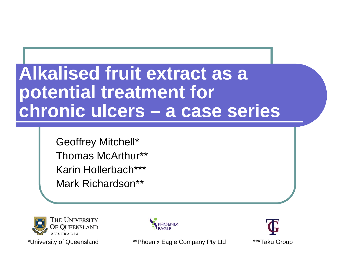# **Alkalised fruit extract as a potential treatment for chronic ulcers – a case series**

Geoffrey Mitchell\* Thomas McArthur\*\*Karin Hollerbach\*\*\*Mark Richardson\*\*





\*University of Queensland \*\*Phoenix Eagle Company Pty Ltd \*\*\*Taku Group

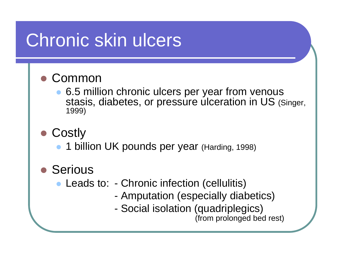# Chronic skin ulcers

#### O Common

- $\bullet$  6.5 million chronic ulcers per year from venous stasis, diabetes, or pressure ulceration in US (Singer, 1999)
- Costly
	- $\bullet$ 1 billion UK pounds per year (Harding, 1998)
- Serious
	- $\bullet$  Leads to: - Chronic infection (cellulitis)
		- -Amputation (especially diabetics)
		- -Social isolation (quadriplegics)

(from prolonged bed rest)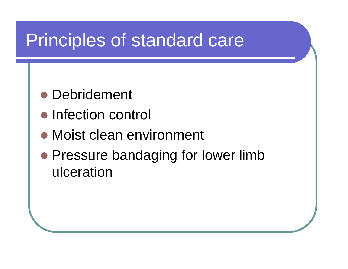# Principles of standard care

- Debridement
- Infection control
- Moist clean environment
- Pressure bandaging for lower limb ulceration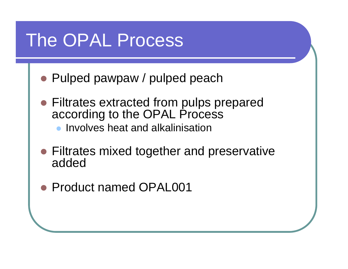# The OPAL Process

- Pulped pawpaw / pulped peach
- Filtrates extracted from pulps prepared according to the OPAL Process
	- $\bullet$  Involves heat and alkalinisation
- Filtrates mixed together and preservative added
- Product named OPAL001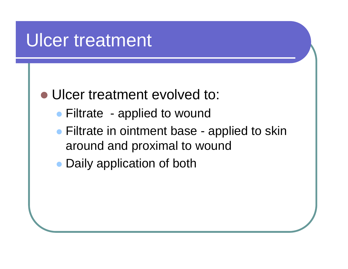## Ulcer treatment

### • Ulcer treatment evolved to:

- Filtrate applied to wound
- Filtrate in ointment base applied to skin around and proximal to wound
- Daily application of both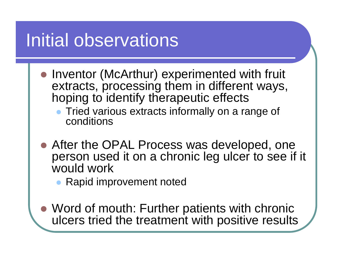# Initial observations

- Inventor (McArthur) experimented with fruit extracts, processing them in different ways, hoping to identify therapeutic effects
	- $\bullet$  Tried various extracts informally on a range of conditions
- After the OPAL Process was developed, one person used it on a chronic leg ulcer to see if it would work
	- $\bullet$ Rapid improvement noted
- Word of mouth: Further patients with chronic ulcers tried the treatment with positive results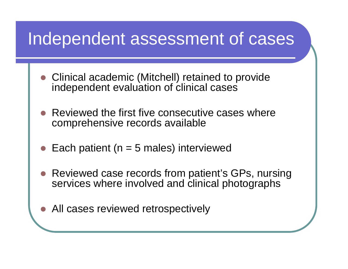## Independent assessment of cases

- Clinical academic (Mitchell) retained to provide independent evaluation of clinical cases
- $\bullet$  Reviewed the first five consecutive cases where comprehensive records available
- **z** Each patient ( $n = 5$  males) interviewed
- Reviewed case records from patient's GPs, nursing services where involved and clinical photographs
- All cases reviewed retrospectively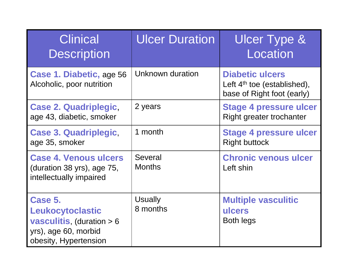| <b>Clinical</b><br><b>Description</b>                                                                               | <b>Ulcer Duration</b>           | <b>Ulcer Type &amp;</b><br>Location                                                   |
|---------------------------------------------------------------------------------------------------------------------|---------------------------------|---------------------------------------------------------------------------------------|
| Case 1. Diabetic, age 56<br>Alcoholic, poor nutrition                                                               | Unknown duration                | <b>Diabetic ulcers</b><br>Left $4th$ toe (established),<br>base of Right foot (early) |
| <b>Case 2. Quadriplegic,</b><br>age 43, diabetic, smoker                                                            | 2 years                         | <b>Stage 4 pressure ulcer</b><br>Right greater trochanter                             |
| <b>Case 3. Quadriplegic,</b><br>age 35, smoker                                                                      | 1 month                         | <b>Stage 4 pressure ulcer</b><br><b>Right buttock</b>                                 |
| <b>Case 4. Venous ulcers</b><br>(duration 38 yrs), age 75,<br>intellectually impaired                               | <b>Several</b><br><b>Months</b> | <b>Chronic venous ulcer</b><br>Left shin                                              |
| Case 5.<br>Leukocytoclastic<br><b>vasculitis, (duration &gt; 6</b><br>yrs), age 60, morbid<br>obesity, Hypertension | <b>Usually</b><br>8 months      | <b>Multiple vasculitic</b><br>ulcers<br><b>Both legs</b>                              |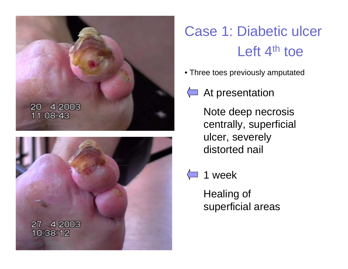



# Case 1: Diabetic ulcer Left  $4<sup>th</sup>$  toe

- Three toes previously amputated
- At presentation
	- Note deep necrosis centrally, superficial ulcer, severely distorted nail
	- 1 week

Healing of superficial areas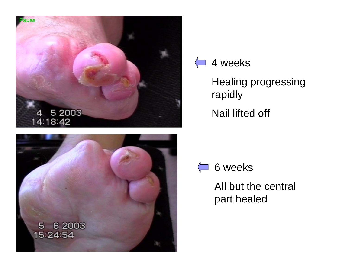



#### $\left\langle \blacksquare \right\rangle$ 4 weeks

Healing progressing rapidly Nail lifted off



All but the central part healed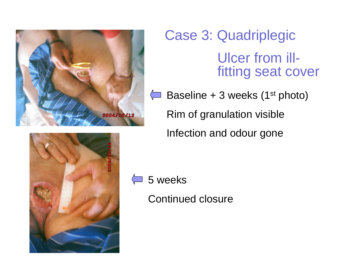

Case 3: Quadriplegic Ulcer from illfitting seat cover

 $\leftarrow$  Baseline + 3 weeks (1<sup>st</sup> photo) Rim of granulation visible Infection and odour gone



5 weeks

Continued closure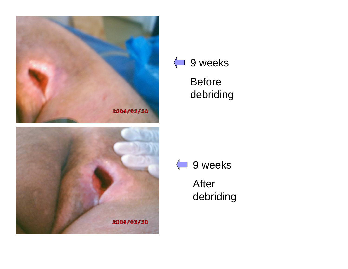





Before debriding



After debriding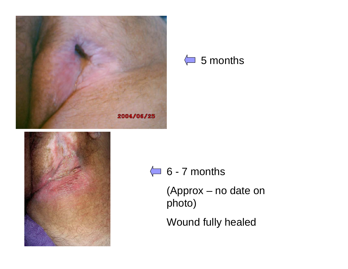



 $\leftarrow$  6 - 7 months

(Approx – no date on photo)

Wound fully healed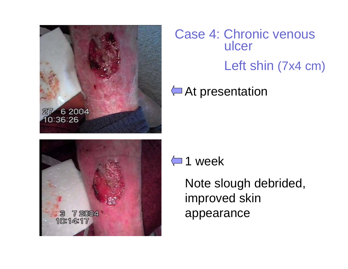

Case 4: Chronic venous ulcer Left shin (7x4 cm)

#### At presentation



 $\leftarrow$  1 week

Note slough debrided, improved skin appearance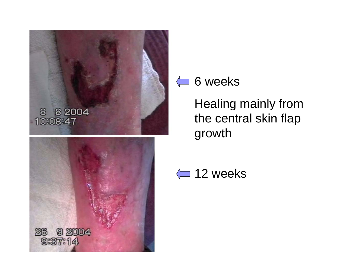

### $\leftarrow$  6 weeks

Healing mainly from the central skin flap growth

</u> 12 weeks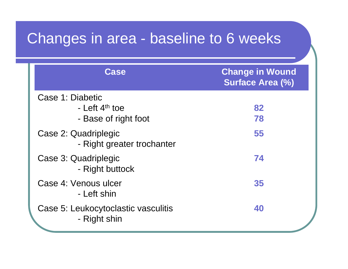## Changes in area - baseline to 6 weeks

| <b>Case</b>                                         | <b>Change in Wound</b><br><b>Surface Area (%)</b> |
|-----------------------------------------------------|---------------------------------------------------|
| Case 1: Diabetic                                    |                                                   |
| - Left $4th$ toe                                    | 82                                                |
| - Base of right foot                                | 78                                                |
| Case 2: Quadriplegic<br>- Right greater trochanter  | 55                                                |
| Case 3: Quadriplegic<br>- Right buttock             | 74                                                |
| Case 4: Venous ulcer<br>- Left shin                 | 35                                                |
| Case 5: Leukocytoclastic vasculitis<br>- Right shin | 40                                                |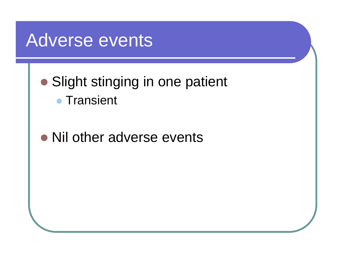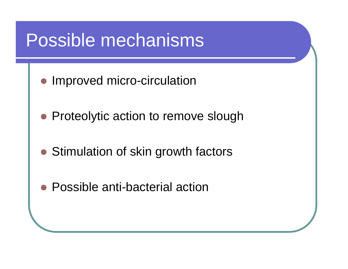# Possible mechanisms

- Improved micro-circulation
- Proteolytic action to remove slough
- Stimulation of skin growth factors
- Possible anti-bacterial action